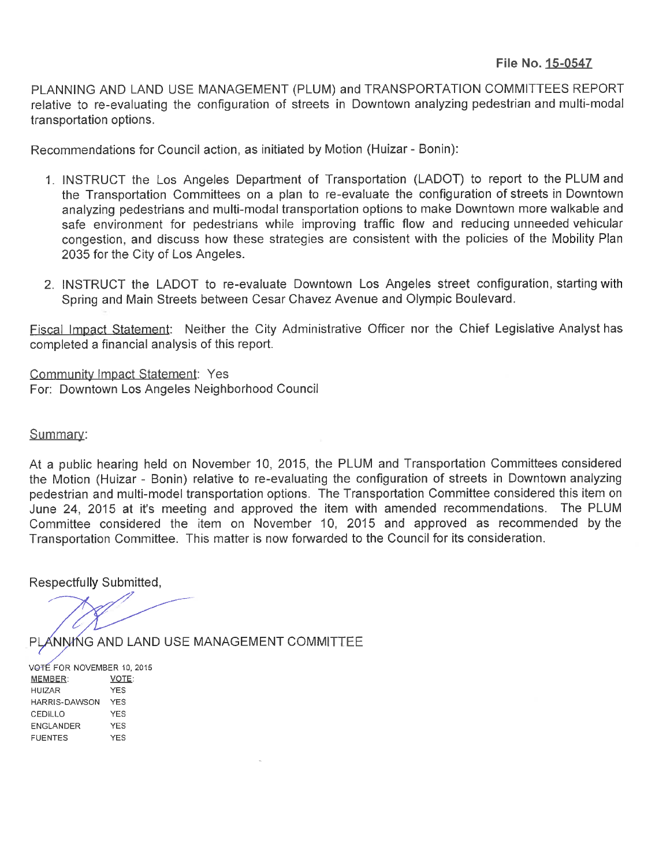PLANNING AND LAND USE MANAGEMENT (PLUM) and TRANSPORTATION COMMITTEES REPORT relative to re-evaluating the configuration of streets in Downtown analyzing pedestrian and multi-modal transportation options.

Recommendations for Council action, as initiated by Motion (Huizar- Bonin):

- 1. INSTRUCT the Los Angeles Department of Transportation (LADOT) to report to the PLUM and the Transportation Committees on a plan to re-evaluate the configuration of streets in Downtown analyzing pedestrians and multi-modal transportation options to make Downtown more walkable and safe environment for pedestrians while improving traffic flow and reducing unneeded vehicular congestion, and discuss how these strategies are consistent with the policies of the Mobility Plan 2035 for the City of Los Angeles.
- 2. INSTRUCT the LADOT to re-evaluate Downtown Los Angeles street configuration, starting with Spring and Main Streets between Cesar Chavez Avenue and Olympic Boulevard.

Fiscal Impact Statement: Neither the City Administrative Officer nor the Chief Legislative Analyst has completed a financial analysis of this report.

Community Impact Statement: Yes For: Downtown Los Angeles Neighborhood Council

Summary:

At a public hearing held on November 10, 2015, the PLUM and Transportation Committees considered the Motion (Huizar - Bonin) relative to re-evaluating the configuration of streets in Downtown analyzing pedestrian and multi-model transportation options. The Transportation Committee considered this item on June 24, 2015 at it's meeting and approved the item with amended recommendations. The PLUM Committee considered the item on November 10, 2015 and approved as recommended by the Transportation Committee. This matter is now forwarded to the Council for its consideration.

Respectfully Submitted,

p G AND LAND USE MANAGEMENT COMMITTEE

| VOTE FOR NOVEMBER 10, 2015 |              |
|----------------------------|--------------|
| MEMBER:                    | <b>VOTE:</b> |
| HUIZAR                     | YES          |
| HARRIS-DAWSON              | <b>YES</b>   |
| CEDILLO                    | <b>YFS</b>   |
| <b>ENGLANDER</b>           | YES          |
| <b>FUENTES</b>             | <b>YES</b>   |